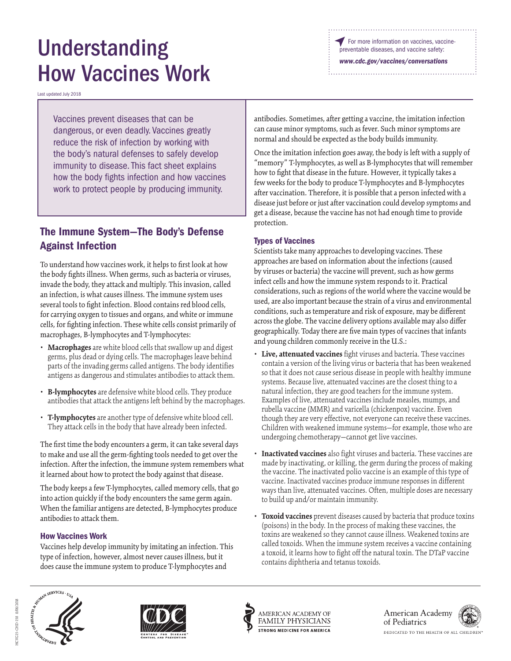# For more information on vaccines, vaccinepreventable diseases, and vaccine safety:

*[www.cdc.gov/vaccines/conversations](https://www.cdc.gov/vaccines/hcp/conversations/index.html)*

# Understanding How Vaccines Work

Last updated July 2018

Vaccines prevent diseases that can be dangerous, or even deadly. Vaccines greatly reduce the risk of infection by working with the body's natural defenses to safely develop immunity to disease. This fact sheet explains how the body fights infection and how vaccines work to protect people by producing immunity.

# The Immune System—The Body's Defense Against Infection

To understand how vaccines work, it helps to first look at how the body fights illness. When germs, such as bacteria or viruses, invade the body, they attack and multiply. This invasion, called an infection, is what causes illness. The immune system uses several tools to fight infection. Blood contains red blood cells, for carrying oxygen to tissues and organs, and white or immune cells, for fighting infection. These white cells consist primarily of macrophages, B-lymphocytes and T-lymphocytes:

- **Macrophages** are white blood cells that swallow up and digest germs, plus dead or dying cells. The macrophages leave behind parts of the invading germs called antigens. The body identifies antigens as dangerous and stimulates antibodies to attack them.
- **B-lymphocytes** are defensive white blood cells. They produce antibodies that attack the antigens left behind by the macrophages.
- **T-lymphocytes** are another type of defensive white blood cell. They attack cells in the body that have already been infected.

The first time the body encounters a germ, it can take several days to make and use all the germ-fighting tools needed to get over the infection. After the infection, the immune system remembers what it learned about how to protect the body against that disease.

The body keeps a few T-lymphocytes, called memory cells, that go into action quickly if the body encounters the same germ again. When the familiar antigens are detected, B-lymphocytes produce antibodies to attack them.

## How Vaccines Work

Vaccines help develop immunity by imitating an infection. This type of infection, however, almost never causes illness, but it does cause the immune system to produce T-lymphocytes and

antibodies. Sometimes, after getting a vaccine, the imitation infection can cause minor symptoms, such as fever. Such minor symptoms are normal and should be expected as the body builds immunity.

Once the imitation infection goes away, the body is left with a supply of "memory" T-lymphocytes, as well as B-lymphocytes that will remember how to fight that disease in the future. However, it typically takes a few weeks for the body to produce T-lymphocytes and B-lymphocytes after vaccination. Therefore, it is possible that a person infected with a disease just before or just after vaccination could develop symptoms and get a disease, because the vaccine has not had enough time to provide protection.

### Types of Vaccines

Scientists take many approaches to developing vaccines. These approaches are based on information about the infections (caused by viruses or bacteria) the vaccine will prevent, such as how germs infect cells and how the immune system responds to it. Practical considerations, such as regions of the world where the vaccine would be used, are also important because the strain of a virus and environmental conditions, such as temperature and risk of exposure, may be different across the globe. The vaccine delivery options available may also differ geographically. Today there are five main types of vaccines that infants and young children commonly receive in the U.S.:

- **Live, attenuated vaccines** fight viruses and bacteria. These vaccines contain a version of the living virus or bacteria that has been weakened so that it does not cause serious disease in people with healthy immune systems. Because live, attenuated vaccines are the closest thing to a natural infection, they are good teachers for the immune system. Examples of live, attenuated vaccines include measles, mumps, and rubella vaccine (MMR) and varicella (chickenpox) vaccine. Even though they are very effective, not everyone can receive these vaccines. Children with weakened immune systems—for example, those who are undergoing chemotherapy—cannot get live vaccines.
- Inactivated vaccines also fight viruses and bacteria. These vaccines are made by inactivating, or killing, the germ during the process of making the vaccine. The inactivated polio vaccine is an example of this type of vaccine. Inactivated vaccines produce immune responses in different ways than live, attenuated vaccines. Often, multiple doses are necessary to build up and/or maintain immunity.
- **Toxoid vaccines** prevent diseases caused by bacteria that produce toxins (poisons) in the body. In the process of making these vaccines, the toxins are weakened so they cannot cause illness. Weakened toxins are called toxoids. When the immune system receives a vaccine containing a toxoid, it learns how to fight off the natural toxin. The DTaP vaccine contains diphtheria and tetanus toxoids.







American Academy of Pediatrics